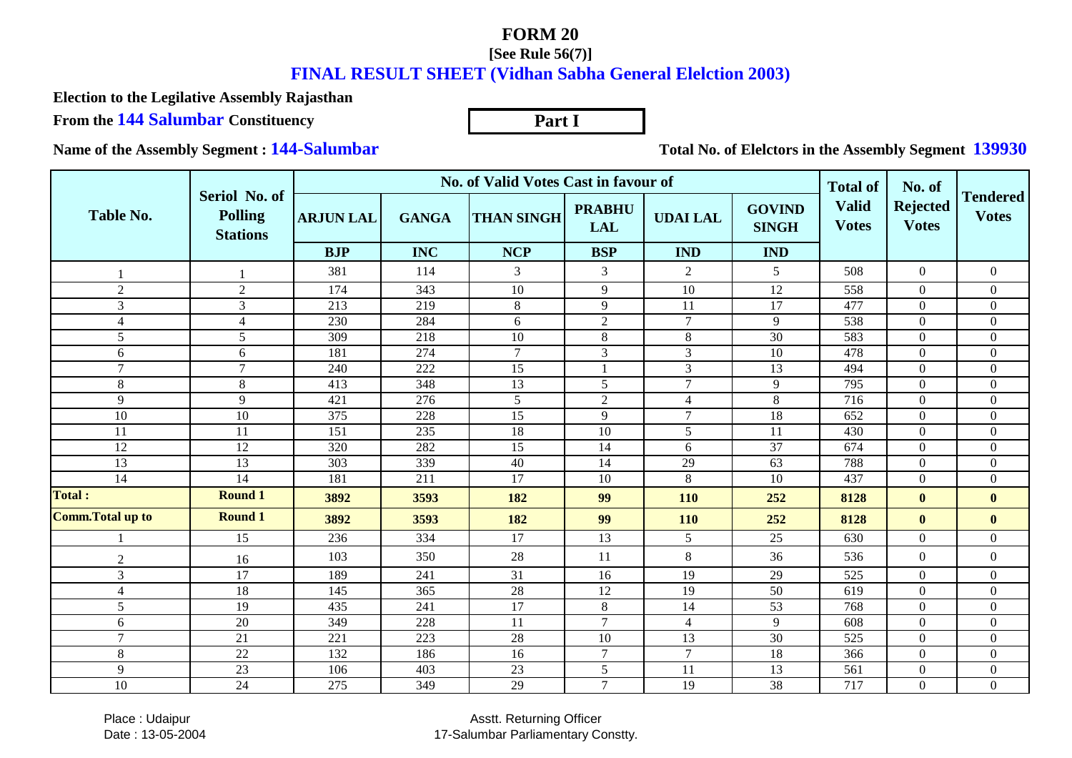## **FORM 20**

## **[See Rule 56(7)]**

## **FINAL RESULT SHEET (Vidhan Sabha General Elelction 2003)**

**Part I**

**Election to the Legilative Assembly Rajasthan**

**From the 144 Salumbar Constituency**

**Name of the Assembly Segment : 144-Salumbar**

**Total No. of Elelctors in the Assembly Segment 139930**

|                         |                                                    |                  | No. of Valid Votes Cast in favour of | <b>Total of</b>   | No. of                      |                 |                               |                              |                                 |                                 |
|-------------------------|----------------------------------------------------|------------------|--------------------------------------|-------------------|-----------------------------|-----------------|-------------------------------|------------------------------|---------------------------------|---------------------------------|
| <b>Table No.</b>        | Seriol No. of<br><b>Polling</b><br><b>Stations</b> | <b>ARJUN LAL</b> | <b>GANGA</b>                         | <b>THAN SINGH</b> | <b>PRABHU</b><br><b>LAL</b> | <b>UDAI LAL</b> | <b>GOVIND</b><br><b>SINGH</b> | <b>Valid</b><br><b>Votes</b> | <b>Rejected</b><br><b>Votes</b> | <b>Tendered</b><br><b>Votes</b> |
|                         |                                                    | <b>BJP</b>       | <b>INC</b>                           | <b>NCP</b>        | <b>BSP</b>                  | <b>IND</b>      | <b>IND</b>                    |                              |                                 |                                 |
|                         |                                                    | 381              | 114                                  | 3                 | $\mathfrak{Z}$              | $\overline{2}$  | 5                             | 508                          | $\overline{0}$                  | $\overline{0}$                  |
| $\overline{2}$          | $\sqrt{2}$                                         | 174              | 343                                  | 10                | 9                           | 10              | 12                            | 558                          | $\overline{0}$                  | $\Omega$                        |
| 3                       | $\overline{3}$                                     | $\overline{213}$ | 219                                  | 8                 | $\overline{9}$              | 11              | $\overline{17}$               | 477                          | $\overline{0}$                  | $\overline{0}$                  |
| 4                       | $\overline{4}$                                     | 230              | 284                                  | 6                 | $\overline{2}$              | $\tau$          | 9                             | 538                          | $\overline{0}$                  | $\overline{0}$                  |
| 5                       | 5                                                  | 309              | 218                                  | 10                | $8\,$                       | $\,8$           | 30                            | 583                          | $\overline{0}$                  | $\overline{0}$                  |
| 6                       | $6\,$                                              | 181              | 274                                  | $\overline{7}$    | $\mathfrak{Z}$              | 3               | 10                            | 478                          | $\overline{0}$                  | $\overline{0}$                  |
| $\tau$                  | $\overline{7}$                                     | 240              | 222                                  | 15                | $\mathbf{1}$                | 3               | 13                            | 494                          | $\overline{0}$                  | $\overline{0}$                  |
| 8                       | $\,8\,$                                            | 413              | 348                                  | 13                | 5                           | $\overline{7}$  | 9                             | 795                          | $\overline{0}$                  | $\overline{0}$                  |
| 9                       | 9                                                  | 421              | 276                                  | 5                 | $\overline{2}$              | $\overline{4}$  | $\,8\,$                       | 716                          | $\overline{0}$                  | $\overline{0}$                  |
| 10                      | 10                                                 | 375              | 228                                  | 15                | 9                           | $\overline{7}$  | 18                            | 652                          | $\overline{0}$                  | $\overline{0}$                  |
| 11                      | 11                                                 | 151              | 235                                  | 18                | 10                          | 5               | 11                            | 430                          | $\overline{0}$                  | $\overline{0}$                  |
| 12                      | 12                                                 | 320              | 282                                  | 15                | 14                          | 6               | 37                            | 674                          | $\overline{0}$                  | $\overline{0}$                  |
| 13                      | 13                                                 | 303              | 339                                  | 40                | 14                          | 29              | 63                            | 788                          | $\boldsymbol{0}$                | $\overline{0}$                  |
| 14                      | 14                                                 | 181              | 211                                  | 17                | 10                          | $\,8\,$         | 10                            | 437                          | $\overline{0}$                  | $\overline{0}$                  |
| <b>Total:</b>           | <b>Round 1</b>                                     | 3892             | 3593                                 | 182               | 99                          | 110             | 252                           | 8128                         | $\bf{0}$                        | $\mathbf{0}$                    |
| <b>Comm.Total up to</b> | <b>Round 1</b>                                     | 3892             | 3593                                 | 182               | 99                          | 110             | 252                           | 8128                         | $\bf{0}$                        | $\mathbf{0}$                    |
|                         | 15                                                 | 236              | 334                                  | 17                | 13                          | 5               | 25                            | 630                          | $\overline{0}$                  | $\overline{0}$                  |
| $\mathfrak{2}$          | 16                                                 | 103              | 350                                  | 28                | 11                          | $\,8\,$         | 36                            | 536                          | $\overline{0}$                  | $\overline{0}$                  |
| $\mathfrak{Z}$          | 17                                                 | 189              | 241                                  | 31                | 16                          | 19              | 29                            | 525                          | $\overline{0}$                  | $\overline{0}$                  |
| $\overline{4}$          | 18                                                 | 145              | 365                                  | 28                | 12                          | 19              | 50                            | 619                          | $\overline{0}$                  | $\overline{0}$                  |
| 5                       | 19                                                 | 435              | 241                                  | 17                | $8\,$                       | 14              | 53                            | 768                          | $\overline{0}$                  | $\overline{0}$                  |
| 6                       | 20                                                 | 349              | 228                                  | 11                | $\overline{7}$              | $\overline{4}$  | 9                             | 608                          | $\overline{0}$                  | $\overline{0}$                  |
| $\tau$                  | 21                                                 | 221              | 223                                  | 28                | 10                          | 13              | 30                            | 525                          | $\overline{0}$                  | $\overline{0}$                  |
| 8                       | 22                                                 | 132              | 186                                  | 16                | $\boldsymbol{7}$            | $\tau$          | 18                            | 366                          | $\boldsymbol{0}$                | $\boldsymbol{0}$                |
| 9                       | 23                                                 | 106              | 403                                  | 23                | $\mathfrak{S}$              | 11              | 13                            | 561                          | $\boldsymbol{0}$                | $\overline{0}$                  |
| 10                      | 24                                                 | 275              | 349                                  | 29                | $\overline{7}$              | 19              | 38                            | 717                          | $\overline{0}$                  | $\overline{0}$                  |

 Place : UdaipurDate : 13-05-2004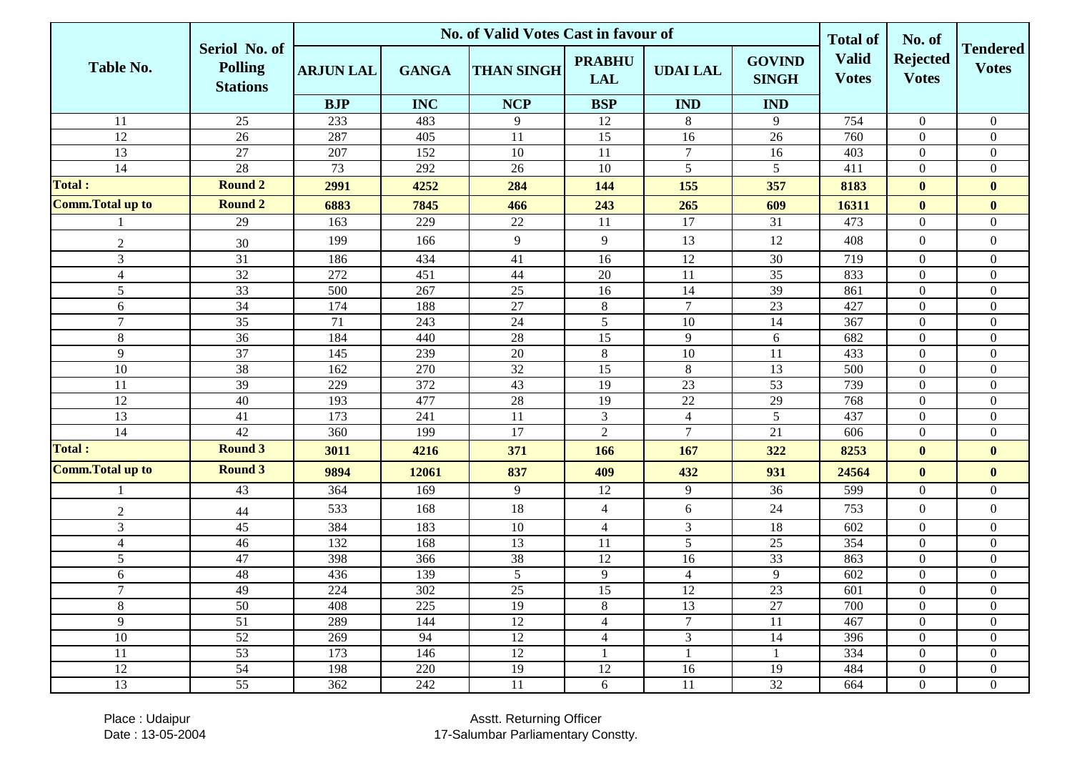|                          |                                                    | <b>No. of Valid Votes Cast in favour of</b> |              |                   |                             |                 |                               |                                                 | No. of                          |                                 |
|--------------------------|----------------------------------------------------|---------------------------------------------|--------------|-------------------|-----------------------------|-----------------|-------------------------------|-------------------------------------------------|---------------------------------|---------------------------------|
| Table No.                | Seriol No. of<br><b>Polling</b><br><b>Stations</b> | <b>ARJUN LAL</b>                            | <b>GANGA</b> | <b>THAN SINGH</b> | <b>PRABHU</b><br><b>LAL</b> | <b>UDAI LAL</b> | <b>GOVIND</b><br><b>SINGH</b> | <b>Total of</b><br><b>Valid</b><br><b>Votes</b> | <b>Rejected</b><br><b>Votes</b> | <b>Tendered</b><br><b>Votes</b> |
|                          |                                                    | <b>BJP</b>                                  | <b>INC</b>   | <b>NCP</b>        | <b>BSP</b>                  | <b>IND</b>      | <b>IND</b>                    |                                                 |                                 |                                 |
| 11                       | 25                                                 | 233                                         | 483          | 9                 | 12                          | 8               | 9                             | 754                                             | $\overline{0}$                  | $\overline{0}$                  |
| 12                       | 26                                                 | 287                                         | 405          | 11                | 15                          | 16              | 26                            | 760                                             | $\overline{0}$                  | $\overline{0}$                  |
| $\overline{13}$          | 27                                                 | 207                                         | 152          | 10                | 11                          | $\tau$          | 16                            | 403                                             | $\boldsymbol{0}$                | $\overline{0}$                  |
| $\overline{14}$          | $\overline{28}$                                    | 73                                          | 292          | 26                | 10                          | 5               | $\mathfrak{S}$                | 411                                             | $\overline{0}$                  | $\overline{0}$                  |
| <b>Total:</b>            | <b>Round 2</b>                                     | 2991                                        | 4252         | 284               | 144                         | 155             | 357                           | 8183                                            | $\mathbf{0}$                    | $\bf{0}$                        |
| <b>Comm.Total up to</b>  | <b>Round 2</b>                                     | 6883                                        | 7845         | 466               | 243                         | 265             | 609                           | 16311                                           | $\mathbf{0}$                    | $\bf{0}$                        |
|                          | 29                                                 | 163                                         | 229          | 22                | 11                          | 17              | 31                            | 473                                             | $\overline{0}$                  | $\overline{0}$                  |
| $\sqrt{2}$               | 30                                                 | 199                                         | 166          | 9                 | 9                           | 13              | 12                            | 408                                             | $\boldsymbol{0}$                | $\boldsymbol{0}$                |
| $\overline{3}$           | $\overline{31}$                                    | 186                                         | 434          | 41                | 16                          | 12              | 30                            | 719                                             | $\overline{0}$                  | $\overline{0}$                  |
| $\overline{4}$           | 32                                                 | 272                                         | 451          | $44$              | 20                          | <sup>11</sup>   | 35                            | 833                                             | $\overline{0}$                  | $\overline{0}$                  |
| 5                        | $\overline{33}$                                    | 500                                         | 267          | 25                | 16                          | 14              | $\overline{39}$               | 861                                             | $\overline{0}$                  | $\overline{0}$                  |
| 6                        | 34                                                 | 174                                         | 188          | 27                | $8\,$                       | $7\phantom{.0}$ | 23                            | 427                                             | $\overline{0}$                  | $\boldsymbol{0}$                |
| $\overline{7}$           | 35                                                 | 71                                          | 243          | 24                | 5                           | 10              | 14                            | 367                                             | $\overline{0}$                  | $\boldsymbol{0}$                |
| $\,8\,$                  | 36                                                 | 184                                         | 440          | 28                | 15                          | 9               | 6                             | 682                                             | $\overline{0}$                  | $\boldsymbol{0}$                |
| 9                        | $\overline{37}$                                    | 145                                         | 239          | $\overline{20}$   | $8\,$                       | 10              | 11                            | 433                                             | $\boldsymbol{0}$                | $\boldsymbol{0}$                |
| 10                       | 38                                                 | 162                                         | 270          | 32                | 15                          | $\,8\,$         | 13                            | 500                                             | $\boldsymbol{0}$                | $\overline{0}$                  |
| 11                       | 39                                                 | 229                                         | 372          | 43                | 19                          | 23              | 53                            | 739                                             | $\boldsymbol{0}$                | $\overline{0}$                  |
| 12                       | 40                                                 | 193                                         | 477          | 28                | 19                          | 22              | 29                            | 768                                             | $\boldsymbol{0}$                | $\overline{0}$                  |
| 13                       | 41                                                 | $\overline{173}$                            | 241          | $11\,$            | $\overline{3}$              | $\overline{4}$  | $\overline{5}$                | 437                                             | $\boldsymbol{0}$                | $\boldsymbol{0}$                |
| $\overline{14}$          | $\overline{42}$                                    | 360                                         | 199          | 17                | $\overline{2}$              | $\overline{7}$  | 21                            | 606                                             | $\boldsymbol{0}$                | $\boldsymbol{0}$                |
| <b>Total:</b>            | <b>Round 3</b>                                     | 3011                                        | 4216         | 371               | 166                         | 167             | 322                           | 8253                                            | $\bf{0}$                        | $\bf{0}$                        |
| <b>Comm. Total up to</b> | <b>Round 3</b>                                     | 9894                                        | 12061        | 837               | 409                         | 432             | 931                           | 24564                                           | $\bf{0}$                        | $\bf{0}$                        |
|                          | 43                                                 | 364                                         | 169          | 9                 | 12                          | 9               | 36                            | 599                                             | $\boldsymbol{0}$                | $\overline{0}$                  |
| $\overline{2}$           | $44$                                               | 533                                         | 168          | 18                | $\overline{4}$              | 6               | 24                            | 753                                             | $\mathbf{0}$                    | $\boldsymbol{0}$                |
| $\overline{3}$           | 45                                                 | 384                                         | 183          | 10                | $\overline{4}$              | 3               | 18                            | 602                                             | $\overline{0}$                  | $\overline{0}$                  |
| $\overline{4}$           | 46                                                 | 132                                         | 168          | 13                | 11                          | 5               | 25                            | 354                                             | $\boldsymbol{0}$                | $\boldsymbol{0}$                |
| 5                        | 47                                                 | 398                                         | 366          | 38                | 12                          | 16              | 33                            | 863                                             | $\boldsymbol{0}$                | $\boldsymbol{0}$                |
| 6                        | 48                                                 | 436                                         | 139          | 5                 | 9                           | $\overline{4}$  | 9                             | 602                                             | $\overline{0}$                  | $\boldsymbol{0}$                |
| $\boldsymbol{7}$         | 49                                                 | 224                                         | 302          | $\overline{25}$   | $\overline{15}$             | $\overline{12}$ | 23                            | 601                                             | $\boldsymbol{0}$                | $\overline{0}$                  |
| 8                        | 50                                                 | 408                                         | 225          | 19                | 8                           | 13              | 27                            | 700                                             | $\overline{0}$                  | $\overline{0}$                  |
| 9                        | 51                                                 | 289                                         | 144          | 12                | $\overline{4}$              | $7\overline{ }$ | 11                            | 467                                             | $\overline{0}$                  | $\overline{0}$                  |
| 10                       | 52                                                 | 269                                         | 94           | 12                | $\overline{4}$              | 3               | 14                            | 396                                             | $\overline{0}$                  | $\overline{0}$                  |
| 11                       | 53                                                 | 173                                         | 146          | 12                | $\mathbf{1}$                | $\overline{1}$  | $\mathbf{1}$                  | 334                                             | $\overline{0}$                  | $\overline{0}$                  |
| 12                       | 54                                                 | 198                                         | 220          | 19                | 12                          | 16              | 19                            | 484                                             | $\overline{0}$                  | $\overline{0}$                  |
| 13                       | 55                                                 | 362                                         | 242          | 11                | 6                           | 11              | 32                            | 664                                             | $\boldsymbol{0}$                | $\overline{0}$                  |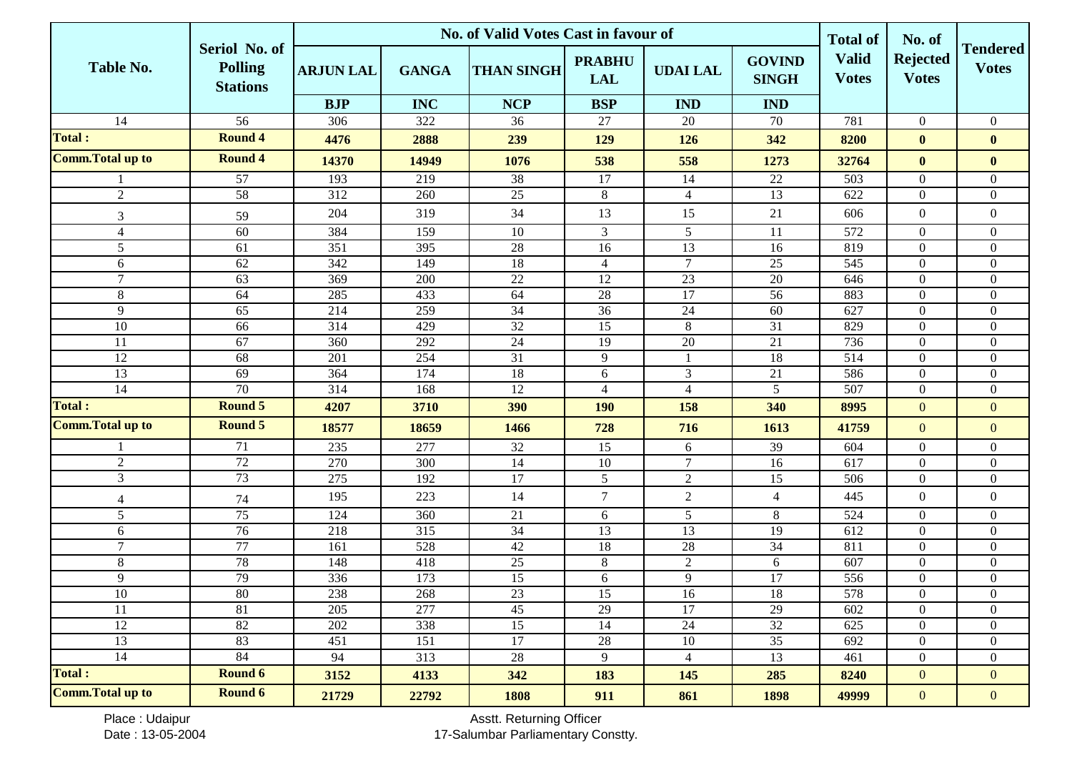|                          |                                                    | <b>No. of Valid Votes Cast in favour of</b> |                  |                   |                             |                 |                               |                                                 | No. of                          |                                 |
|--------------------------|----------------------------------------------------|---------------------------------------------|------------------|-------------------|-----------------------------|-----------------|-------------------------------|-------------------------------------------------|---------------------------------|---------------------------------|
| <b>Table No.</b>         | Seriol No. of<br><b>Polling</b><br><b>Stations</b> | <b>ARJUN LAL</b>                            | <b>GANGA</b>     | <b>THAN SINGH</b> | <b>PRABHU</b><br><b>LAL</b> | <b>UDAI LAL</b> | <b>GOVIND</b><br><b>SINGH</b> | <b>Total of</b><br><b>Valid</b><br><b>Votes</b> | <b>Rejected</b><br><b>Votes</b> | <b>Tendered</b><br><b>Votes</b> |
|                          |                                                    | <b>BJP</b>                                  | <b>INC</b>       | <b>NCP</b>        | <b>BSP</b>                  | <b>IND</b>      | <b>IND</b>                    |                                                 |                                 |                                 |
| 14                       | $\overline{56}$                                    | 306                                         | 322              | 36                | 27                          | 20              | 70                            | 781                                             | $\overline{0}$                  | $\overline{0}$                  |
| <b>Total:</b>            | <b>Round 4</b>                                     | 4476                                        | 2888             | 239               | 129                         | 126             | 342                           | 8200                                            | $\bf{0}$                        | $\bf{0}$                        |
| <b>Comm.Total up to</b>  | <b>Round 4</b>                                     | 14370                                       | 14949            | 1076              | 538                         | 558             | 1273                          | 32764                                           | $\bf{0}$                        | $\bf{0}$                        |
|                          | $\overline{57}$                                    | 193                                         | 219              | 38                | 17                          | 14              | 22                            | 503                                             | $\mathbf{0}$                    | $\overline{0}$                  |
| $\sqrt{2}$               | 58                                                 | 312                                         | 260              | 25                | $8\,$                       | $\overline{4}$  | 13                            | 622                                             | $\boldsymbol{0}$                | $\boldsymbol{0}$                |
| 3                        | 59                                                 | 204                                         | 319              | 34                | 13                          | 15              | 21                            | 606                                             | $\boldsymbol{0}$                | $\boldsymbol{0}$                |
| $\overline{\mathcal{L}}$ | 60                                                 | 384                                         | 159              | 10                | $\overline{3}$              | 5               | 11                            | 572                                             | $\overline{0}$                  | $\overline{0}$                  |
| 5                        | 61                                                 | 351                                         | 395              | 28                | 16                          | 13              | 16                            | 819                                             | $\boldsymbol{0}$                | $\overline{0}$                  |
| 6                        | 62                                                 | 342                                         | 149              | $\overline{18}$   | $\overline{4}$              | $\tau$          | 25                            | 545                                             | $\boldsymbol{0}$                | $\overline{0}$                  |
| $\overline{7}$           | 63                                                 | 369                                         | 200              | 22                | 12                          | 23              | 20                            | 646                                             | $\boldsymbol{0}$                | $\overline{0}$                  |
| 8                        | 64                                                 | 285                                         | 433              | 64                | 28                          | $\overline{17}$ | 56                            | 883                                             | $\boldsymbol{0}$                | $\overline{0}$                  |
| 9                        | 65                                                 | 214                                         | 259              | 34                | 36                          | 24              | 60                            | 627                                             | $\boldsymbol{0}$                | $\boldsymbol{0}$                |
| 10                       | 66                                                 | $\overline{314}$                            | 429              | 32                | $\overline{15}$             | $\,8\,$         | $\overline{31}$               | 829                                             | $\boldsymbol{0}$                | $\boldsymbol{0}$                |
| 11                       | 67                                                 | 360                                         | 292              | 24                | 19                          | $20\,$          | 21                            | 736                                             | $\overline{0}$                  | $\overline{0}$                  |
| 12                       | 68                                                 | 201                                         | 254              | $\overline{31}$   | 9                           |                 | 18                            | 514                                             | $\overline{0}$                  | $\boldsymbol{0}$                |
| 13                       | 69                                                 | 364                                         | 174              | 18                | $6\,$                       | $\mathfrak{Z}$  | 21                            | 586                                             | $\boldsymbol{0}$                | $\overline{0}$                  |
| 14                       | 70                                                 | 314                                         | 168              | $\overline{12}$   | $\overline{4}$              | $\overline{4}$  | $\overline{5}$                | 507                                             | $\boldsymbol{0}$                | $\overline{0}$                  |
| <b>Total:</b>            | <b>Round 5</b>                                     | 4207                                        | 3710             | 390               | <b>190</b>                  | 158             | 340                           | 8995                                            | $\mathbf{0}$                    | $\overline{0}$                  |
| <b>Comm. Total up to</b> | <b>Round 5</b>                                     | 18577                                       | 18659            | 1466              | 728                         | 716             | 1613                          | 41759                                           | $\overline{0}$                  | $\overline{0}$                  |
|                          | 71                                                 | 235                                         | 277              | $\overline{32}$   | 15                          | 6               | 39                            | 604                                             | $\overline{0}$                  | $\overline{0}$                  |
| $\sqrt{2}$               | 72                                                 | 270                                         | 300              | 14                | 10                          | $\overline{7}$  | 16                            | 617                                             | $\boldsymbol{0}$                | $\boldsymbol{0}$                |
| $\mathfrak{Z}$           | 73                                                 | 275                                         | 192              | $17\,$            | 5                           | $\sqrt{2}$      | 15                            | 506                                             | $\boldsymbol{0}$                | $\boldsymbol{0}$                |
| $\overline{4}$           | 74                                                 | 195                                         | 223              | 14                | $\boldsymbol{7}$            | $\overline{2}$  | $\overline{4}$                | 445                                             | $\boldsymbol{0}$                | $\boldsymbol{0}$                |
| 5                        | 75                                                 | 124                                         | 360              | 21                | 6                           | 5               | 8                             | 524                                             | $\overline{0}$                  | $\overline{0}$                  |
| 6                        | $\overline{76}$                                    | 218                                         | $\overline{315}$ | 34                | $\overline{13}$             | $\overline{13}$ | 19                            | 612                                             | $\boldsymbol{0}$                | $\overline{0}$                  |
| $\overline{7}$           | 77                                                 | 161                                         | 528              | 42                | 18                          | $28\,$          | 34                            | 811                                             | $\boldsymbol{0}$                | $\boldsymbol{0}$                |
| 8                        | 78                                                 | 148                                         | 418              | $\overline{25}$   | $8\,$                       | $\overline{2}$  | 6                             | 607                                             | $\boldsymbol{0}$                | $\overline{0}$                  |
| 9                        | 79                                                 | 336                                         | 173              | 15                | 6                           | 9               | 17                            | 556                                             | $\theta$                        | $\overline{0}$                  |
| $\overline{10}$          | 80                                                 | 238                                         | 268              | 23                | 15                          | 16              | 18                            | 578                                             | $\boldsymbol{0}$                | $\boldsymbol{0}$                |
| 11                       | 81                                                 | 205                                         | 277              | 45                | $29\,$                      | 17              | 29                            | 602                                             | $\overline{0}$                  | $\overline{0}$                  |
| 12                       | $82\,$                                             | 202                                         | 338              | 15                | 14                          | 24              | $\overline{32}$               | 625                                             | $\overline{0}$                  | $\overline{0}$                  |
| 13                       | 83                                                 | 451                                         | 151              | 17                | $28\,$                      | 10              | 35                            | 692                                             | $\boldsymbol{0}$                | $\overline{0}$                  |
| 14                       | 84                                                 | 94                                          | 313              | 28                | $\overline{9}$              | $\overline{4}$  | 13                            | 461                                             | $\boldsymbol{0}$                | $\overline{0}$                  |
| <b>Total:</b>            | <b>Round 6</b>                                     | 3152                                        | 4133             | 342               | 183                         | 145             | 285                           | 8240                                            | $\mathbf{0}$                    | $\overline{0}$                  |
| <b>Comm. Total up to</b> | <b>Round 6</b>                                     | 21729                                       | 22792            | 1808              | 911                         | 861             | 1898                          | 49999                                           | $\mathbf{0}$                    | $\mathbf{0}$                    |

Place : Udaipur Date : 13-05-2004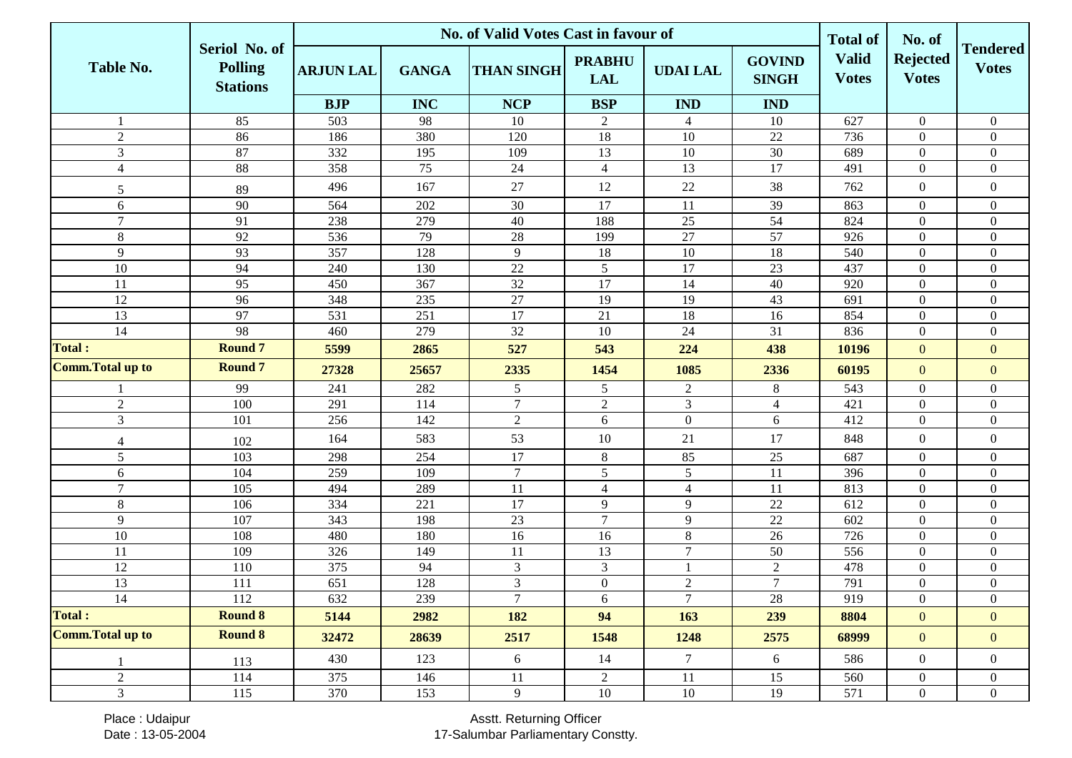|                          |                                                    | <b>No. of Valid Votes Cast in favour of</b> |              |                   |                             |                 |                               |                                                 | No. of                          |                                 |
|--------------------------|----------------------------------------------------|---------------------------------------------|--------------|-------------------|-----------------------------|-----------------|-------------------------------|-------------------------------------------------|---------------------------------|---------------------------------|
| <b>Table No.</b>         | Seriol No. of<br><b>Polling</b><br><b>Stations</b> | <b>ARJUN LAL</b>                            | <b>GANGA</b> | <b>THAN SINGH</b> | <b>PRABHU</b><br><b>LAL</b> | <b>UDAI LAL</b> | <b>GOVIND</b><br><b>SINGH</b> | <b>Total of</b><br><b>Valid</b><br><b>Votes</b> | <b>Rejected</b><br><b>Votes</b> | <b>Tendered</b><br><b>Votes</b> |
|                          |                                                    | <b>BJP</b>                                  | <b>INC</b>   | <b>NCP</b>        | <b>BSP</b>                  | <b>IND</b>      | <b>IND</b>                    |                                                 |                                 |                                 |
|                          | 85                                                 | 503                                         | 98           | 10                | 2                           | $\overline{4}$  | 10                            | 627                                             | $\overline{0}$                  | $\overline{0}$                  |
| $\overline{2}$           | 86                                                 | 186                                         | 380          | 120               | 18                          | 10              | 22                            | 736                                             | $\overline{0}$                  | $\boldsymbol{0}$                |
| $\overline{3}$           | 87                                                 | 332                                         | 195          | 109               | 13                          | 10              | 30                            | 689                                             | $\overline{0}$                  | $\overline{0}$                  |
| $\overline{4}$           | 88                                                 | 358                                         | 75           | 24                | $\overline{4}$              | 13              | 17                            | 491                                             | $\boldsymbol{0}$                | $\overline{0}$                  |
| 5                        | 89                                                 | 496                                         | 167          | 27                | 12                          | 22              | 38                            | 762                                             | $\overline{0}$                  | $\boldsymbol{0}$                |
| 6                        | 90                                                 | 564                                         | 202          | 30                | 17                          | 11              | 39                            | 863                                             | $\overline{0}$                  | $\overline{0}$                  |
| $\tau$                   | 91                                                 | 238                                         | 279          | 40                | 188                         | $25\,$          | 54                            | 824                                             | $\boldsymbol{0}$                | $\boldsymbol{0}$                |
| $8\,$                    | 92                                                 | 536                                         | 79           | 28                | 199                         | $\overline{27}$ | $\overline{57}$               | 926                                             | $\overline{0}$                  | $\boldsymbol{0}$                |
| 9                        | 93                                                 | 357                                         | 128          | 9                 | 18                          | 10              | 18                            | 540                                             | $\boldsymbol{0}$                | $\boldsymbol{0}$                |
| 10                       | 94                                                 | 240                                         | 130          | $22\,$            | 5                           | 17              | 23                            | 437                                             | $\overline{0}$                  | $\boldsymbol{0}$                |
| 11                       | 95                                                 | 450                                         | 367          | 32                | 17                          | 14              | 40                            | 920                                             | $\overline{0}$                  | $\boldsymbol{0}$                |
| 12                       | 96                                                 | 348                                         | 235          | 27                | 19                          | 19              | 43                            | 691                                             | $\boldsymbol{0}$                | $\overline{0}$                  |
| 13                       | 97                                                 | 531                                         | 251          | 17                | 21                          | 18              | 16                            | 854                                             | $\overline{0}$                  | $\overline{0}$                  |
| 14                       | 98                                                 | 460                                         | 279          | 32                | 10                          | 24              | 31                            | 836                                             | $\overline{0}$                  | $\overline{0}$                  |
| Total:                   | <b>Round 7</b>                                     | 5599                                        | 2865         | 527               | 543                         | 224             | 438                           | 10196                                           | $\mathbf{0}$                    | $\overline{0}$                  |
| <b>Comm. Total up to</b> | <b>Round 7</b>                                     | 27328                                       | 25657        | 2335              | 1454                        | 1085            | 2336                          | 60195                                           | $\mathbf{0}$                    | $\mathbf{0}$                    |
|                          | 99                                                 | 241                                         | 282          | 5                 | $5\overline{)}$             | $\overline{c}$  | 8                             | 543                                             | $\overline{0}$                  | $\overline{0}$                  |
| $\overline{2}$           | 100                                                | 291                                         | 114          | $7\phantom{.0}$   | $\overline{2}$              | 3               | $\overline{4}$                | 421                                             | $\boldsymbol{0}$                | $\boldsymbol{0}$                |
| $\overline{3}$           | 101                                                | 256                                         | 142          | 2                 | $\boldsymbol{6}$            | $\overline{0}$  | 6                             | 412                                             | $\overline{0}$                  | $\overline{0}$                  |
| $\overline{4}$           | 102                                                | 164                                         | 583          | 53                | 10                          | 21              | 17                            | 848                                             | $\overline{0}$                  | $\boldsymbol{0}$                |
| 5                        | 103                                                | 298                                         | 254          | 17                | $8\,$                       | 85              | 25                            | 687                                             | $\boldsymbol{0}$                | $\boldsymbol{0}$                |
| 6                        | 104                                                | 259                                         | 109          | $\overline{7}$    | $\mathfrak{S}$              | 5               | 11                            | 396                                             | $\overline{0}$                  | $\overline{0}$                  |
| $\tau$                   | 105                                                | 494                                         | 289          | 11                | $\overline{4}$              | 4               | 11                            | 813                                             | $\overline{0}$                  | $\boldsymbol{0}$                |
| $8\,$                    | 106                                                | 334                                         | 221          | 17                | 9                           | 9               | $\overline{22}$               | 612                                             | $\overline{0}$                  | $\overline{0}$                  |
| 9                        | 107                                                | 343                                         | 198          | 23                | $\overline{7}$              | 9               | 22                            | 602                                             | $\overline{0}$                  | $\overline{0}$                  |
| 10                       | 108                                                | 480                                         | 180          | 16                | 16                          | 8               | 26                            | 726                                             | $\overline{0}$                  | $\overline{0}$                  |
| 11                       | 109                                                | 326                                         | 149          | 11                | 13                          | $\tau$          | 50                            | 556                                             | $\overline{0}$                  | $\boldsymbol{0}$                |
| 12                       | 110                                                | 375                                         | 94           | $\mathfrak{Z}$    | $\mathfrak{Z}$              |                 | $\sqrt{2}$                    | 478                                             | $\mathbf{0}$                    | $\overline{0}$                  |
| 13                       | 111                                                | 651                                         | 128          | $\mathfrak{Z}$    | $\overline{0}$              | $\mathbf{2}$    | $\tau$                        | 791                                             | $\overline{0}$                  | $\overline{0}$                  |
| 14                       | 112                                                | 632                                         | 239          | $\tau$            | 6                           | $\overline{7}$  | 28                            | 919                                             | $\boldsymbol{0}$                | $\boldsymbol{0}$                |
| <b>Total:</b>            | <b>Round 8</b>                                     | 5144                                        | 2982         | 182               | 94                          | 163             | 239                           | 8804                                            | $\overline{0}$                  | $\overline{0}$                  |
| <b>Comm. Total up to</b> | <b>Round 8</b>                                     | 32472                                       | 28639        | 2517              | 1548                        | 1248            | 2575                          | 68999                                           | $\overline{0}$                  | $\mathbf{0}$                    |
|                          | 113                                                | 430                                         | 123          | 6                 | 14                          | $7\overline{ }$ | 6                             | 586                                             | $\overline{0}$                  | $\overline{0}$                  |
| $\overline{2}$           | 114                                                | 375                                         | 146          | $11\,$            | $\overline{2}$              | 11              | 15                            | 560                                             | $\boldsymbol{0}$                | $\boldsymbol{0}$                |
| $\mathfrak{Z}$           | 115                                                | 370                                         | 153          | 9                 | 10                          | 10              | 19                            | 571                                             | $\overline{0}$                  | $\overline{0}$                  |

Place : Udaipur Date : 13-05-2004